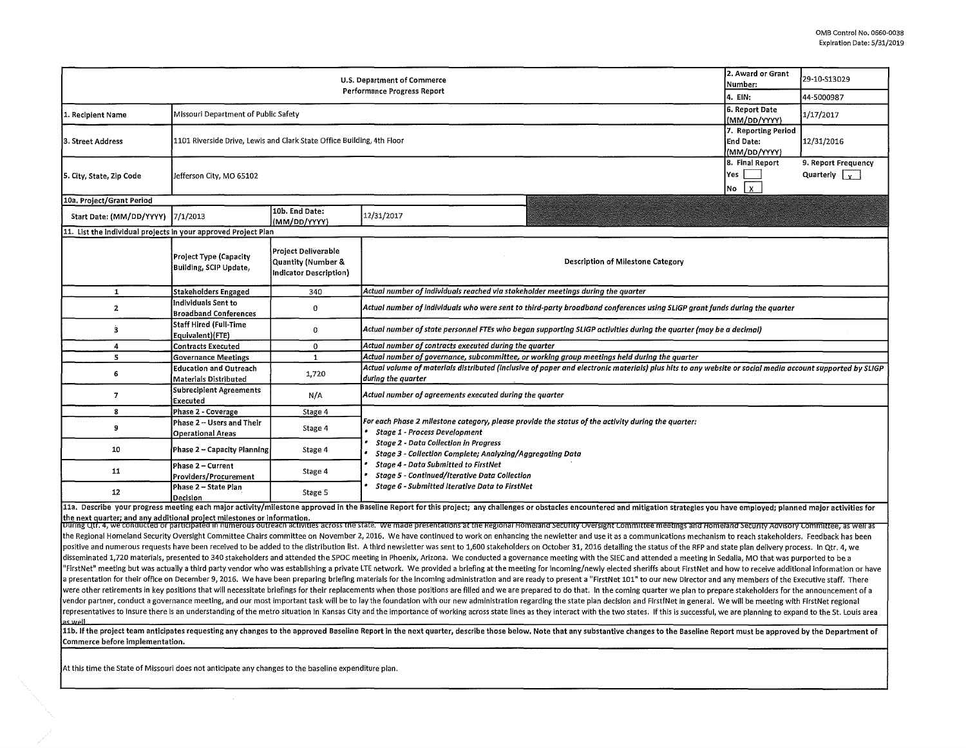| 2. Award or Grant<br>U.S. Department of Commerce<br>Number:<br>Performance Progress Report<br>4. EIN: |                                                                        |                                                                     |                                                                                                                                                                                                                                |  | 29-10-S13029 |  |  |  |  |
|-------------------------------------------------------------------------------------------------------|------------------------------------------------------------------------|---------------------------------------------------------------------|--------------------------------------------------------------------------------------------------------------------------------------------------------------------------------------------------------------------------------|--|--------------|--|--|--|--|
|                                                                                                       |                                                                        |                                                                     |                                                                                                                                                                                                                                |  | 44-5000987   |  |  |  |  |
| 1. Recipient Name                                                                                     | Missouri Department of Public Safety                                   | 6. Report Date<br>(MM/DD/YYYY)                                      | 1/17/2017                                                                                                                                                                                                                      |  |              |  |  |  |  |
| 3. Street Address                                                                                     | 1101 Riverside Drive, Lewis and Clark State Office Building, 4th Floor | 7. Reporting Period<br>End Date:<br>(MM/DD/YYYY)                    | 12/31/2016                                                                                                                                                                                                                     |  |              |  |  |  |  |
| 5. City, State, Zip Code                                                                              | Jefferson City, MO 65102                                               | 8. Final Report<br><b>Yes</b><br>$\frac{1}{2}$<br>No                | 9. Report Frequency<br>Quarterly $\sqrt{v}$                                                                                                                                                                                    |  |              |  |  |  |  |
| 10a. Project/Grant Period                                                                             |                                                                        |                                                                     |                                                                                                                                                                                                                                |  |              |  |  |  |  |
| Start Date: (MM/DD/YYYY)  7/1/2013                                                                    |                                                                        | 10b. End Date:<br>(MM/DD/YYYY)                                      | 12/31/2017                                                                                                                                                                                                                     |  |              |  |  |  |  |
| 11. List the individual projects in your approved Project Plan                                        |                                                                        |                                                                     |                                                                                                                                                                                                                                |  |              |  |  |  |  |
|                                                                                                       | Project Type (Capacity<br>Building, SCIP Update,                       | Project Deliverable<br>Quantity (Number &<br>Indicator Description) | <b>Description of Milestone Category</b>                                                                                                                                                                                       |  |              |  |  |  |  |
| $\mathbf{1}$                                                                                          | <b>Stakeholders Engaged</b>                                            | 340                                                                 | Actual number of individuals reached via stakeholder meetings during the quarter                                                                                                                                               |  |              |  |  |  |  |
| $\mathbf{z}$                                                                                          | Individuals Sent to<br><b>Broadband Conferences</b>                    | 0                                                                   | Actual number of individuals who were sent to third-party broadband conferences using SLIGP grant funds during the quarter                                                                                                     |  |              |  |  |  |  |
| ġ,                                                                                                    | Staff Hired (Full-Time<br>Equivalent)(FTE)                             | 0                                                                   | Actual number of state personnel FTEs who began supporting SLIGP activities during the quarter (may be a decimal)                                                                                                              |  |              |  |  |  |  |
| 4                                                                                                     | <b>Contracts Executed</b>                                              | $\Omega$                                                            | Actual number of contracts executed during the quarter                                                                                                                                                                         |  |              |  |  |  |  |
| 5                                                                                                     | <b>Governance Meetings</b>                                             | $\mathbf{1}$                                                        | Actual number of governance, subcommittee, or working group meetings held during the quarter                                                                                                                                   |  |              |  |  |  |  |
| 6                                                                                                     | <b>Education and Outreach</b><br>Materials Distributed                 | 1,720                                                               | Actual volume of materials distributed (inclusive of paper and electronic materials) plus hits to any website or social media account supported by SLIGP<br>during the quarter                                                 |  |              |  |  |  |  |
| $\overline{7}$                                                                                        | Subrecipient Agreements<br><b>Executed</b>                             | N/A                                                                 | Actual number of agreements executed during the quarter                                                                                                                                                                        |  |              |  |  |  |  |
| 8                                                                                                     | Phase 2 - Coverage                                                     | Stage 4                                                             |                                                                                                                                                                                                                                |  |              |  |  |  |  |
| 9                                                                                                     | Phase 2 -- Users and Their<br><b>Operational Areas</b>                 | Stage 4                                                             | For each Phase 2 milestone category, please provide the status of the activity during the quarter:<br><b>Stage 1 - Process Development</b>                                                                                     |  |              |  |  |  |  |
| 10                                                                                                    | Phase 2 - Capacity Planning                                            | Stage 4                                                             | <b>Stage 2 - Data Collection in Progress</b><br>Stage 3 - Collection Complete; Analyzing/Aggregating Data                                                                                                                      |  |              |  |  |  |  |
| 11                                                                                                    | Phase 2 - Current<br>Providers/Procurement                             | Stage 4                                                             | <b>Stage 4 - Data Submitted to FirstNet</b><br><b>Stage 5 - Continued/Iterative Data Collection</b>                                                                                                                            |  |              |  |  |  |  |
| 12                                                                                                    | Phase 2 - State Plan<br>Decision                                       | Stage 5                                                             | Stage 6 - Submitted Iterative Data to FirstNet                                                                                                                                                                                 |  |              |  |  |  |  |
|                                                                                                       |                                                                        |                                                                     | 11a. Describe your progress meeting each major activity/milestone approved in the Baseline Report for this project; any challenges or obstacles encountered and mitigation strategies you have employed; planned major activit |  |              |  |  |  |  |

the next quarter; and any additional project milestones or information.<br>|During Qtr. 4, we conducted or participated in humerous outreach activities across the state. We made presentations at the Regional Homeland Security the Regional Homeland Security Oversight Committee Chairs committee on November 2, 2016. We have continued to work on enhancing the newletter and use it as a communications mechanism to reach stakeholders. Feedback has been positive and numerous requests have been received to be added to the distribution list. A third newsletter was sent to 1,600 stakeholders on October 31, 2016 detailing the status of the RFP and state plan delivery process. disseminated 1,720 materials, presented to 340 stakeholders and attended the SPOC meeting in Phoenix, Arizona. We conducted a governance meeting with the SIEC and attended a meeting in Sedalia, MO that was purported to be a "FirstNet" meeting but was actually a third party vendor who was establishing a private LTE network. We provided a briefing at the meeting for incoming/newly elected sheriffs about FirstNet and how to receive additional in a presentation for their office on December 9, 2016. We have been preparing briefing materials for the incoming administration and are ready to present a "FirstNet 101" to our new Director and any members of the Executive were other retirements in key positions that will necessitate briefings for their replacements when those positions are filled and we are prepared to do that. In the coming quarter we plan to prepare stakeholders for the a vendor partner, conduct a governance meeting, and our most important task will be to lay the foundation with our new administration regarding the state plan decision and FirstfNet in general. We will be meeting with FirstN representatives to insure there is an understanding of the metro situation in Kansas City and the importance of working across state lines as they interact with the two states. If this is successful, we are planning to exp as well

11b. If the project team anticipates requesting any changes to the approved Baseline Report in the next quarter, describe those below. Note that any substantive changes to the Baseline Report must be approved by the Depart Commerce before implementation.

At this time the State of Missouri does not anticipate any changes to the baseline expenditure plan.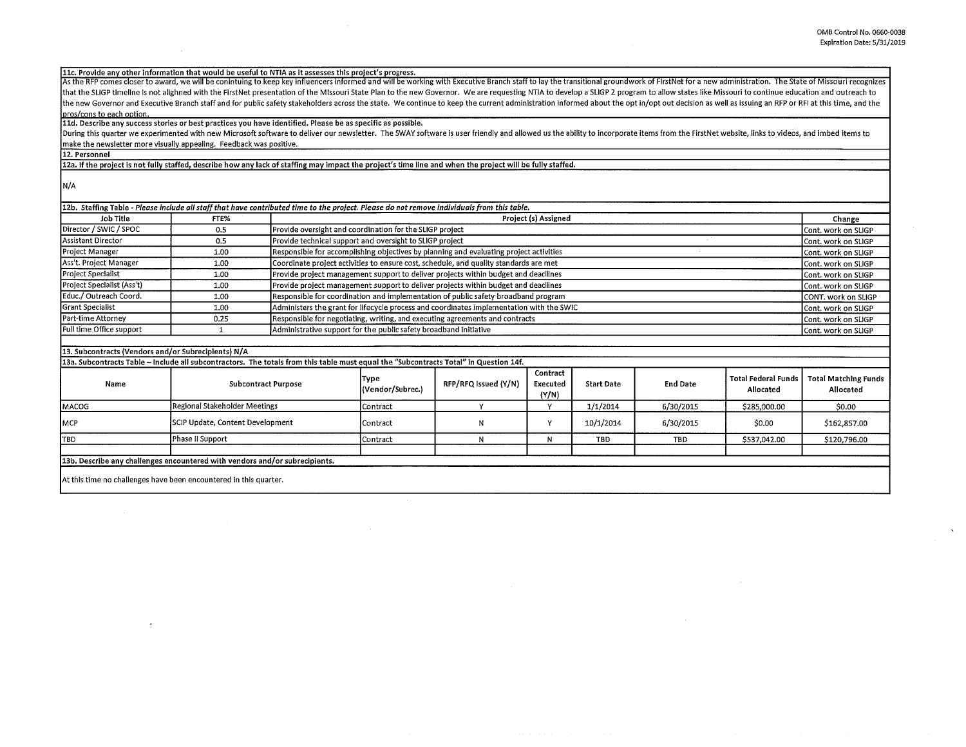llc, Provide any other information that would be useful to NTIA as it assesses this project's progress.

As the RFP comes closer to award, we will be conintuing to keep key influencers informed and will be working with Executive Branch staff to lay the transitional groundwork of FirstNet for a new administration. The State of that the SLIGP timeline is not alighned with the FirstNet presentation of the Missouri State Plan to the new Governor. We are requesting NTIA to develop a SLIGP 2 program to allow states like Missouri to continue education the new Governor and Executive Branch staff and for public safety stakeholders across the state. We continue to keep the current administration informed about the opt in/opt out decision as well as issuing an RFP or RFI at pros/cons to each option.

lld. Describe any success stories or best practices you have identified. Please be as specific as possible.

During this quarter we experimented with new Microsoft software to deliver our newsletter. The SWAY software is user friendly and allowed us the ability to incorporate items from the FirstNet website, links to videos, and make the newsletter more visually appealing. Feedback was positive.

12, Personnel

12a. **If** the project is not fully staffed, describe how any lack of staffing may impact the project's time line and when the project will be fully staffed.

N/A

| 12b. Staffing Table - Please include all staff that have contributed time to the project. Please do not remove individuals from this table. |      |                                                                                          |                     |  |  |  |
|---------------------------------------------------------------------------------------------------------------------------------------------|------|------------------------------------------------------------------------------------------|---------------------|--|--|--|
| Job Title                                                                                                                                   | FTE% | Project (s) Assigned                                                                     | Change              |  |  |  |
| Director / SWIC / SPOC                                                                                                                      | 0.5  | Provide oversight and coordination for the SLIGP project                                 | Cont. work on SLIGP |  |  |  |
| Assistant Director                                                                                                                          | 0.5  | Provide technical support and oversight to SLIGP project                                 | Cont. work on SLIGP |  |  |  |
| Project Manager                                                                                                                             | 1.00 | Responsible for accomplishing objectives by planning and evaluating project activities   | Cont. work on SLIGP |  |  |  |
| Ass't. Project Manager                                                                                                                      | 1.00 | Coordinate project activities to ensure cost, schedule, and quality standards are met    | Cont. work on SLIGP |  |  |  |
| <b>Project Specialist</b>                                                                                                                   | 1.00 | Provide project management support to deliver projects within budget and deadlines       | Cont. work on SLIGP |  |  |  |
| Project Specialist (Ass't)                                                                                                                  | 1.00 | Provide project management support to deliver projects within budget and deadlines       | Cont. work on SLIGP |  |  |  |
| Educ./ Outreach Coord.                                                                                                                      | 1.00 | Responsible for coordination and implementation of public safety broadband program       | CONT. work on SLIGP |  |  |  |
| <b>Grant Specialist</b>                                                                                                                     | 1.00 | Administers the grant for lifecycle process and coordinates implementation with the SWIC | Cont. work on SLIGP |  |  |  |
| Part-time Attornev                                                                                                                          | 0.25 | Responsible for negotiating, writing, and executing agreements and contracts             | Cont. work on SLIGP |  |  |  |
| Full time Office support                                                                                                                    |      | Administrative support for the public safety broadband initiative                        | Cont. work on SLIGP |  |  |  |
|                                                                                                                                             |      |                                                                                          |                     |  |  |  |

## 13. Subcontracts (Vendors and/or Subrecipients) **N/A**

**13a. Subcontracts Table** - **Include all subcontractors. The totals from this table must equal the "Subcontracts Total" in Question 14f.** 

| pour oupcommand manches and authorities and countries into the countries and manchester out and capture in Question A in |                                  |                                 |                      |                               |                   |                 |                                    |                                   |  |  |
|--------------------------------------------------------------------------------------------------------------------------|----------------------------------|---------------------------------|----------------------|-------------------------------|-------------------|-----------------|------------------------------------|-----------------------------------|--|--|
| Name                                                                                                                     | <b>Subcontract Purpose</b>       | <b>Type</b><br>(Vendor/Subrec.) | RFP/RFQ Issued (Y/N) | Contract<br>Executed<br>(Y/N) | <b>Start Date</b> | <b>End Date</b> | l Total Federal Funds<br>Allocated | Total Matching Funds<br>Allocated |  |  |
| <b>MACOG</b>                                                                                                             | Regional Stakeholder Meetings    | Contract                        |                      |                               | 1/1/2014          | 6/30/2015       | \$285,000.00                       | \$0.00                            |  |  |
| <b>IMCP</b>                                                                                                              | SCIP Update, Content Development | lContract                       |                      |                               | 10/1/2014         | 6/30/2015       | \$0.00                             | \$162,857.00                      |  |  |
| ITBD                                                                                                                     | Phase II Support                 | Contract                        |                      |                               | TBD               | TBD             | \$537,042.00                       | \$120,796.00                      |  |  |
|                                                                                                                          |                                  |                                 |                      |                               |                   |                 |                                    |                                   |  |  |
| [13b. Describe any challenges encountered with vendors and/or subrecipients.]                                            |                                  |                                 |                      |                               |                   |                 |                                    |                                   |  |  |
|                                                                                                                          |                                  |                                 |                      |                               |                   |                 |                                    |                                   |  |  |

At this time no challenges have been encountered in this quarter.